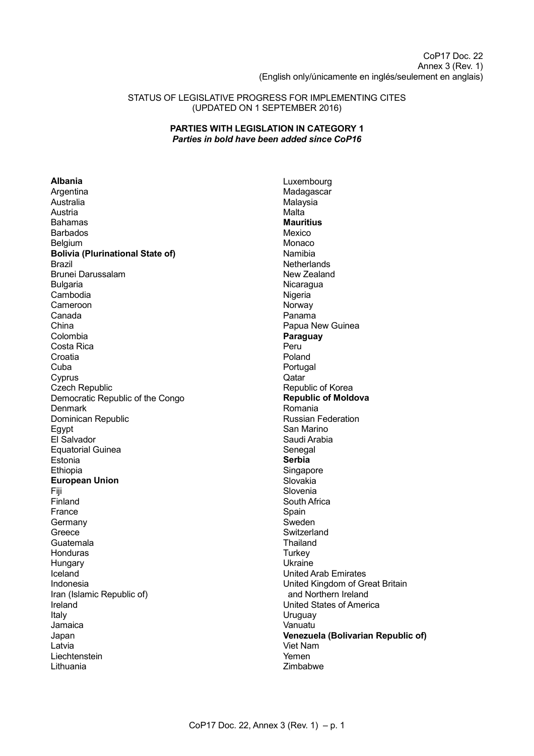CoP17 Doc. 22 Annex 3 (Rev. 1) (English only/únicamente en inglés/seulement en anglais)

### STATUS OF LEGISLATIVE PROGRESS FOR IMPLEMENTING CITES (UPDATED ON 1 SEPTEMBER 2016)

## **PARTIES WITH LEGISLATION IN CATEGORY 1** *Parties in bold have been added since CoP16*

**Albania**

Argentina Australia Austria Bahamas Barbados Belgium **Bolivia (Plurinational State of)** Brazil Brunei Darussalam Bulgaria Cambodia Cameroon Canada China Colombia Costa Rica **Croatia** Cuba Cyprus Czech Republic Democratic Republic of the Congo **Denmark** Dominican Republic Egypt El Salvador Equatorial Guinea Estonia Ethiopia **European Union** Fiji Finland France Germany Greece Guatemala Honduras **Hungary** Iceland Indonesia Iran (Islamic Republic of) Ireland Italy Jamaica Japan Latvia Liechtenstein Lithuania

Luxembourg Madagascar Malaysia **Malta Mauritius** Mexico Monaco Namibia **Netherlands** New Zealand **Nicaragua** Nigeria **Norway** Panama Papua New Guinea **Paraguay** Peru Poland Portugal Qatar Republic of Korea **Republic of Moldova** Romania Russian Federation San Marino Saudi Arabia Senegal **Serbia** Singapore Slovakia Slovenia South Africa **Spain** Sweden **Switzerland** Thailand **Turkey** Ukraine United Arab Emirates United Kingdom of Great Britain and Northern Ireland United States of America **Uruguay** Vanuatu **Venezuela (Bolivarian Republic of)** Viet Nam Yemen Zimbabwe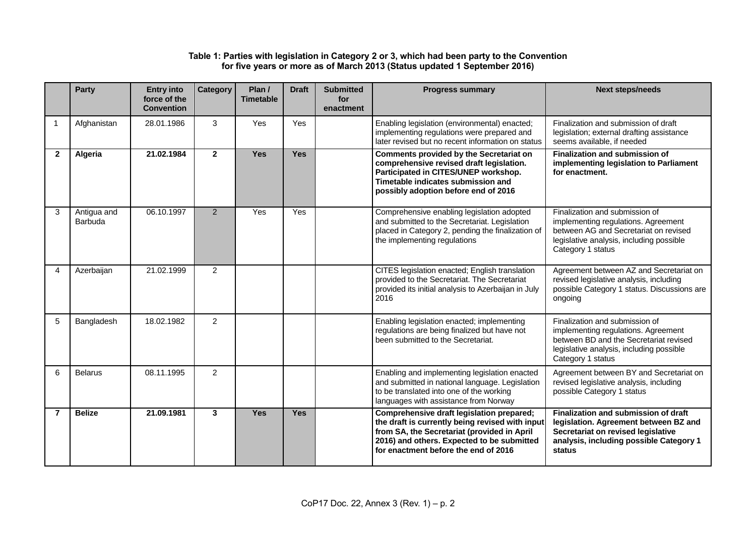## **Table 1: Parties with legislation in Category 2 or 3, which had been party to the Convention for five years or more as of March 2013 (Status updated 1 September 2016)**

|                | <b>Party</b>           | <b>Entry into</b><br>force of the<br><b>Convention</b> | <b>Category</b> | Plan /<br><b>Timetable</b> | <b>Draft</b> | <b>Submitted</b><br>for<br>enactment | <b>Progress summary</b>                                                                                                                                                                                                           | <b>Next steps/needs</b>                                                                                                                                                          |
|----------------|------------------------|--------------------------------------------------------|-----------------|----------------------------|--------------|--------------------------------------|-----------------------------------------------------------------------------------------------------------------------------------------------------------------------------------------------------------------------------------|----------------------------------------------------------------------------------------------------------------------------------------------------------------------------------|
| -1             | Afghanistan            | 28.01.1986                                             | 3               | <b>Yes</b>                 | Yes          |                                      | Enabling legislation (environmental) enacted;<br>implementing regulations were prepared and<br>later revised but no recent information on status                                                                                  | Finalization and submission of draft<br>legislation; external drafting assistance<br>seems available, if needed                                                                  |
| 2              | Algeria                | 21.02.1984                                             | $\overline{2}$  | <b>Yes</b>                 | <b>Yes</b>   |                                      | <b>Comments provided by the Secretariat on</b><br>comprehensive revised draft legislation.<br>Participated in CITES/UNEP workshop.<br>Timetable indicates submission and<br>possibly adoption before end of 2016                  | <b>Finalization and submission of</b><br>implementing legislation to Parliament<br>for enactment.                                                                                |
| 3              | Antigua and<br>Barbuda | 06.10.1997                                             | $\overline{2}$  | Yes                        | Yes          |                                      | Comprehensive enabling legislation adopted<br>and submitted to the Secretariat. Legislation<br>placed in Category 2, pending the finalization of<br>the implementing regulations                                                  | Finalization and submission of<br>implementing regulations. Agreement<br>between AG and Secretariat on revised<br>legislative analysis, including possible<br>Category 1 status  |
| 4              | Azerbaijan             | 21.02.1999                                             | $\overline{2}$  |                            |              |                                      | CITES legislation enacted; English translation<br>provided to the Secretariat. The Secretariat<br>provided its initial analysis to Azerbaijan in July<br>2016                                                                     | Agreement between AZ and Secretariat on<br>revised legislative analysis, including<br>possible Category 1 status. Discussions are<br>ongoing                                     |
| 5              | Bangladesh             | 18.02.1982                                             | $\overline{2}$  |                            |              |                                      | Enabling legislation enacted; implementing<br>regulations are being finalized but have not<br>been submitted to the Secretariat.                                                                                                  | Finalization and submission of<br>implementing regulations. Agreement<br>between BD and the Secretariat revised<br>legislative analysis, including possible<br>Category 1 status |
| 6              | <b>Belarus</b>         | 08.11.1995                                             | $\overline{2}$  |                            |              |                                      | Enabling and implementing legislation enacted<br>and submitted in national language. Legislation<br>to be translated into one of the working<br>languages with assistance from Norway                                             | Agreement between BY and Secretariat on<br>revised legislative analysis, including<br>possible Category 1 status                                                                 |
| $\overline{7}$ | <b>Belize</b>          | 21.09.1981                                             | 3               | Yes                        | <b>Yes</b>   |                                      | Comprehensive draft legislation prepared;<br>the draft is currently being revised with input<br>from SA, the Secretariat (provided in April<br>2016) and others. Expected to be submitted<br>for enactment before the end of 2016 | Finalization and submission of draft<br>legislation. Agreement between BZ and<br>Secretariat on revised legislative<br>analysis, including possible Category 1<br>status         |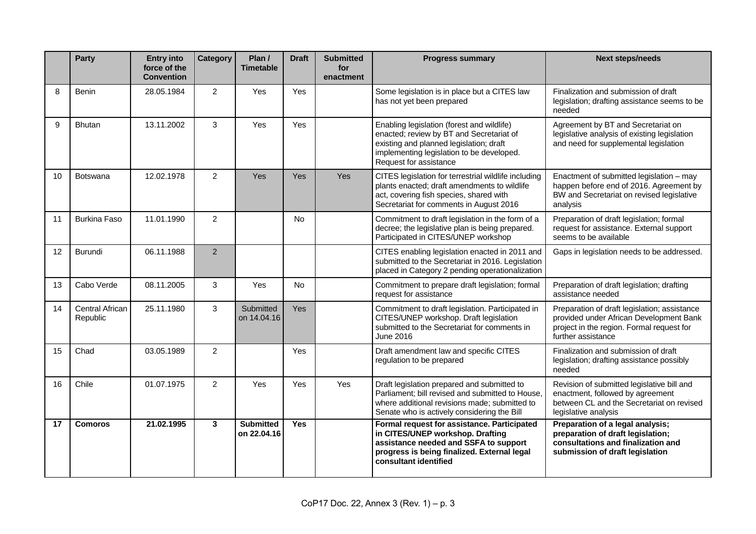|    | <b>Party</b>                | <b>Entry into</b><br>force of the<br><b>Convention</b> | Category       | Plan /<br><b>Timetable</b>      | <b>Draft</b> | <b>Submitted</b><br>for<br>enactment | <b>Progress summary</b>                                                                                                                                                                                  | <b>Next steps/needs</b>                                                                                                                                    |
|----|-----------------------------|--------------------------------------------------------|----------------|---------------------------------|--------------|--------------------------------------|----------------------------------------------------------------------------------------------------------------------------------------------------------------------------------------------------------|------------------------------------------------------------------------------------------------------------------------------------------------------------|
| 8  | <b>Benin</b>                | 28.05.1984                                             | $\overline{2}$ | Yes                             | Yes          |                                      | Some legislation is in place but a CITES law<br>has not yet been prepared                                                                                                                                | Finalization and submission of draft<br>legislation; drafting assistance seems to be<br>needed                                                             |
| 9  | <b>Bhutan</b>               | 13.11.2002                                             | 3              | Yes                             | Yes          |                                      | Enabling legislation (forest and wildlife)<br>enacted; review by BT and Secretariat of<br>existing and planned legislation; draft<br>implementing legislation to be developed.<br>Request for assistance | Agreement by BT and Secretariat on<br>legislative analysis of existing legislation<br>and need for supplemental legislation                                |
| 10 | Botswana                    | 12.02.1978                                             | $\overline{2}$ | Yes                             | Yes          | Yes                                  | CITES legislation for terrestrial wildlife including<br>plants enacted; draft amendments to wildlife<br>act, covering fish species, shared with<br>Secretariat for comments in August 2016               | Enactment of submitted legislation - may<br>happen before end of 2016. Agreement by<br>BW and Secretariat on revised legislative<br>analysis               |
| 11 | <b>Burkina Faso</b>         | 11.01.1990                                             | $\overline{2}$ |                                 | <b>No</b>    |                                      | Commitment to draft legislation in the form of a<br>decree; the legislative plan is being prepared.<br>Participated in CITES/UNEP workshop                                                               | Preparation of draft legislation; formal<br>request for assistance. External support<br>seems to be available                                              |
| 12 | Burundi                     | 06.11.1988                                             | 2              |                                 |              |                                      | CITES enabling legislation enacted in 2011 and<br>submitted to the Secretariat in 2016. Legislation<br>placed in Category 2 pending operationalization                                                   | Gaps in legislation needs to be addressed.                                                                                                                 |
| 13 | Cabo Verde                  | 08.11.2005                                             | 3              | Yes                             | No           |                                      | Commitment to prepare draft legislation; formal<br>request for assistance                                                                                                                                | Preparation of draft legislation; drafting<br>assistance needed                                                                                            |
| 14 | Central African<br>Republic | 25.11.1980                                             | 3              | Submitted<br>on 14,04.16        | Yes          |                                      | Commitment to draft legislation. Participated in<br>CITES/UNEP workshop. Draft legislation<br>submitted to the Secretariat for comments in<br>June 2016                                                  | Preparation of draft legislation; assistance<br>provided under African Development Bank<br>project in the region. Formal request for<br>further assistance |
| 15 | Chad                        | 03.05.1989                                             | $\overline{2}$ |                                 | Yes          |                                      | Draft amendment law and specific CITES<br>regulation to be prepared                                                                                                                                      | Finalization and submission of draft<br>legislation; drafting assistance possibly<br>needed                                                                |
| 16 | Chile                       | 01.07.1975                                             | $\overline{2}$ | Yes                             | Yes          | Yes                                  | Draft legislation prepared and submitted to<br>Parliament; bill revised and submitted to House.<br>where additional revisions made; submitted to<br>Senate who is actively considering the Bill          | Revision of submitted legislative bill and<br>enactment, followed by agreement<br>between CL and the Secretariat on revised<br>legislative analysis        |
| 17 | <b>Comoros</b>              | 21.02.1995                                             | $\mathbf{3}$   | <b>Submitted</b><br>on 22.04.16 | <b>Yes</b>   |                                      | Formal request for assistance. Participated<br>in CITES/UNEP workshop. Drafting<br>assistance needed and SSFA to support<br>progress is being finalized. External legal<br>consultant identified         | Preparation of a legal analysis;<br>preparation of draft legislation;<br>consultations and finalization and<br>submission of draft legislation             |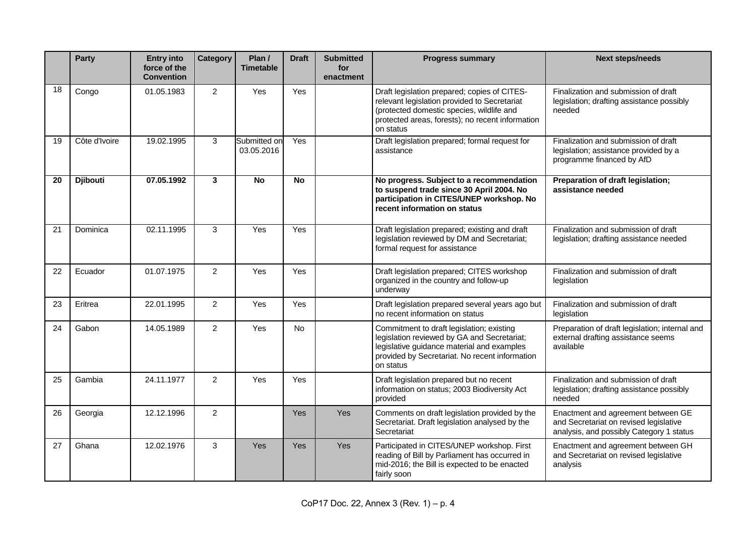|    | <b>Party</b>    | <b>Entry into</b><br>force of the<br><b>Convention</b> | <b>Category</b> | Plan /<br><b>Timetable</b> | <b>Draft</b> | <b>Submitted</b><br>for<br>enactment | <b>Progress summary</b>                                                                                                                                                                                    | <b>Next steps/needs</b>                                                                                                  |
|----|-----------------|--------------------------------------------------------|-----------------|----------------------------|--------------|--------------------------------------|------------------------------------------------------------------------------------------------------------------------------------------------------------------------------------------------------------|--------------------------------------------------------------------------------------------------------------------------|
| 18 | Congo           | 01.05.1983                                             | $\overline{2}$  | Yes                        | Yes          |                                      | Draft legislation prepared; copies of CITES-<br>relevant legislation provided to Secretariat<br>(protected domestic species, wildlife and<br>protected areas, forests); no recent information<br>on status | Finalization and submission of draft<br>legislation; drafting assistance possibly<br>needed                              |
| 19 | Côte d'Ivoire   | 19.02.1995                                             | 3               | Submitted on<br>03.05.2016 | Yes          |                                      | Draft legislation prepared; formal request for<br>assistance                                                                                                                                               | Finalization and submission of draft<br>legislation; assistance provided by a<br>programme financed by AfD               |
| 20 | <b>Djibouti</b> | 07.05.1992                                             | $\mathbf{3}$    | <b>No</b>                  | <b>No</b>    |                                      | No progress. Subject to a recommendation<br>to suspend trade since 30 April 2004. No<br>participation in CITES/UNEP workshop. No<br>recent information on status                                           | Preparation of draft legislation;<br>assistance needed                                                                   |
| 21 | Dominica        | 02.11.1995                                             | 3               | Yes                        | Yes          |                                      | Draft legislation prepared; existing and draft<br>legislation reviewed by DM and Secretariat;<br>formal request for assistance                                                                             | Finalization and submission of draft<br>legislation; drafting assistance needed                                          |
| 22 | Ecuador         | 01.07.1975                                             | $\overline{2}$  | Yes                        | Yes          |                                      | Draft legislation prepared; CITES workshop<br>organized in the country and follow-up<br>underway                                                                                                           | Finalization and submission of draft<br>legislation                                                                      |
| 23 | Eritrea         | 22.01.1995                                             | $\overline{2}$  | Yes                        | Yes          |                                      | Draft legislation prepared several years ago but<br>no recent information on status                                                                                                                        | Finalization and submission of draft<br>legislation                                                                      |
| 24 | Gabon           | 14.05.1989                                             | $\overline{2}$  | Yes                        | No           |                                      | Commitment to draft legislation; existing<br>legislation reviewed by GA and Secretariat;<br>legislative guidance material and examples<br>provided by Secretariat. No recent information<br>on status      | Preparation of draft legislation; internal and<br>external drafting assistance seems<br>available                        |
| 25 | Gambia          | 24.11.1977                                             | $\overline{2}$  | Yes                        | Yes          |                                      | Draft legislation prepared but no recent<br>information on status; 2003 Biodiversity Act<br>provided                                                                                                       | Finalization and submission of draft<br>legislation; drafting assistance possibly<br>needed                              |
| 26 | Georgia         | 12.12.1996                                             | $\overline{2}$  |                            | Yes          | Yes                                  | Comments on draft legislation provided by the<br>Secretariat. Draft legislation analysed by the<br>Secretariat                                                                                             | Enactment and agreement between GE<br>and Secretariat on revised legislative<br>analysis, and possibly Category 1 status |
| 27 | Ghana           | 12.02.1976                                             | 3               | Yes                        | Yes          | Yes                                  | Participated in CITES/UNEP workshop. First<br>reading of Bill by Parliament has occurred in<br>mid-2016; the Bill is expected to be enacted<br>fairly soon                                                 | Enactment and agreement between GH<br>and Secretariat on revised legislative<br>analysis                                 |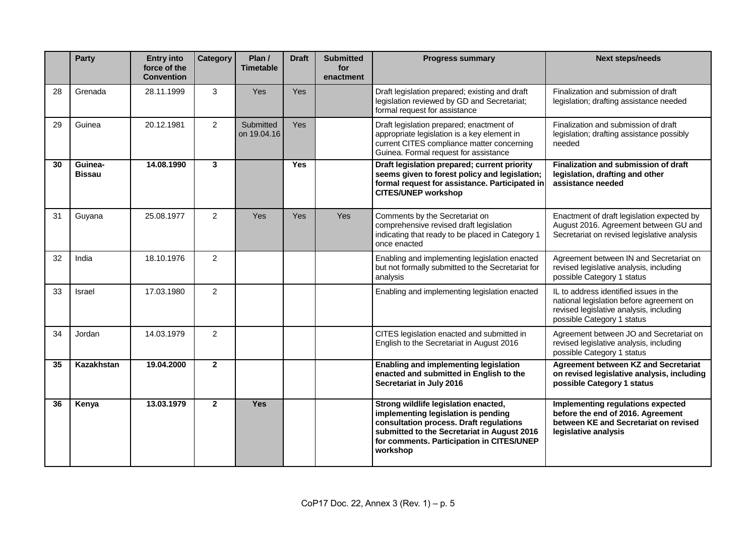|    | <b>Party</b>             | <b>Entry into</b><br>force of the<br><b>Convention</b> | <b>Category</b> | Plan /<br><b>Timetable</b> | <b>Draft</b> | <b>Submitted</b><br>for<br>enactment | <b>Progress summary</b>                                                                                                                                                                                                        | <b>Next steps/needs</b>                                                                                                                                     |
|----|--------------------------|--------------------------------------------------------|-----------------|----------------------------|--------------|--------------------------------------|--------------------------------------------------------------------------------------------------------------------------------------------------------------------------------------------------------------------------------|-------------------------------------------------------------------------------------------------------------------------------------------------------------|
| 28 | Grenada                  | 28.11.1999                                             | 3               | Yes                        | <b>Yes</b>   |                                      | Draft legislation prepared; existing and draft<br>legislation reviewed by GD and Secretariat;<br>formal request for assistance                                                                                                 | Finalization and submission of draft<br>legislation; drafting assistance needed                                                                             |
| 29 | Guinea                   | 20.12.1981                                             | $\overline{2}$  | Submitted<br>on 19.04.16   | <b>Yes</b>   |                                      | Draft legislation prepared; enactment of<br>appropriate legislation is a key element in<br>current CITES compliance matter concerning<br>Guinea. Formal request for assistance                                                 | Finalization and submission of draft<br>legislation; drafting assistance possibly<br>needed                                                                 |
| 30 | Guinea-<br><b>Bissau</b> | 14.08.1990                                             | $\mathbf{3}$    |                            | <b>Yes</b>   |                                      | Draft legislation prepared; current priority<br>seems given to forest policy and legislation;<br>formal request for assistance. Participated in<br><b>CITES/UNEP workshop</b>                                                  | Finalization and submission of draft<br>legislation, drafting and other<br>assistance needed                                                                |
| 31 | Guyana                   | 25.08.1977                                             | $\overline{2}$  | Yes                        | Yes          | Yes                                  | Comments by the Secretariat on<br>comprehensive revised draft legislation<br>indicating that ready to be placed in Category 1<br>once enacted                                                                                  | Enactment of draft legislation expected by<br>August 2016. Agreement between GU and<br>Secretariat on revised legislative analysis                          |
| 32 | India                    | 18.10.1976                                             | $\overline{2}$  |                            |              |                                      | Enabling and implementing legislation enacted<br>but not formally submitted to the Secretariat for<br>analysis                                                                                                                 | Agreement between IN and Secretariat on<br>revised legislative analysis, including<br>possible Category 1 status                                            |
| 33 | <b>Israel</b>            | 17.03.1980                                             | 2               |                            |              |                                      | Enabling and implementing legislation enacted                                                                                                                                                                                  | IL to address identified issues in the<br>national legislation before agreement on<br>revised legislative analysis, including<br>possible Category 1 status |
| 34 | Jordan                   | 14.03.1979                                             | 2               |                            |              |                                      | CITES legislation enacted and submitted in<br>English to the Secretariat in August 2016                                                                                                                                        | Agreement between JO and Secretariat on<br>revised legislative analysis, including<br>possible Category 1 status                                            |
| 35 | Kazakhstan               | 19.04.2000                                             | $\overline{2}$  |                            |              |                                      | <b>Enabling and implementing legislation</b><br>enacted and submitted in English to the<br>Secretariat in July 2016                                                                                                            | <b>Agreement between KZ and Secretariat</b><br>on revised legislative analysis, including<br>possible Category 1 status                                     |
| 36 | Kenya                    | 13.03.1979                                             | $\overline{2}$  | <b>Yes</b>                 |              |                                      | Strong wildlife legislation enacted,<br>implementing legislation is pending<br>consultation process. Draft regulations<br>submitted to the Secretariat in August 2016<br>for comments. Participation in CITES/UNEP<br>workshop | Implementing regulations expected<br>before the end of 2016. Agreement<br>between KE and Secretariat on revised<br>legislative analysis                     |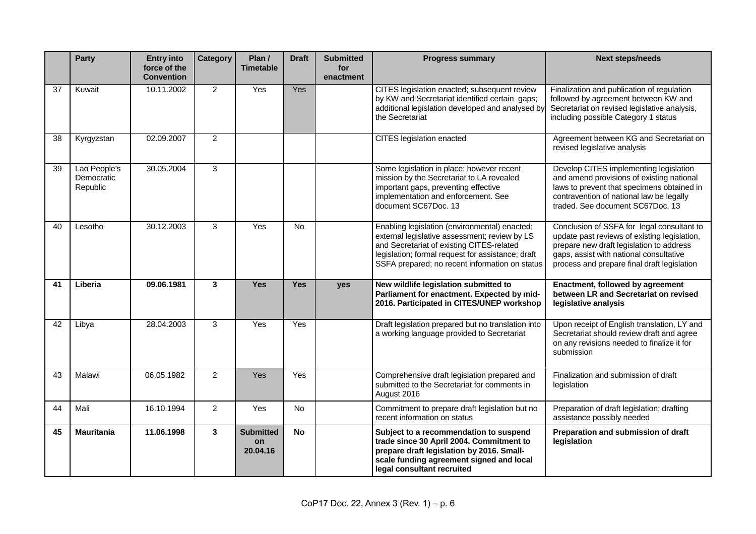|    | <b>Party</b>                           | <b>Entry into</b><br>force of the<br><b>Convention</b> | Category       | Plan /<br><b>Timetable</b>         | <b>Draft</b> | <b>Submitted</b><br>for<br>enactment | <b>Progress summary</b>                                                                                                                                                                                                                            | <b>Next steps/needs</b>                                                                                                                                                                                                          |
|----|----------------------------------------|--------------------------------------------------------|----------------|------------------------------------|--------------|--------------------------------------|----------------------------------------------------------------------------------------------------------------------------------------------------------------------------------------------------------------------------------------------------|----------------------------------------------------------------------------------------------------------------------------------------------------------------------------------------------------------------------------------|
| 37 | Kuwait                                 | 10.11.2002                                             | $\overline{2}$ | Yes                                | Yes          |                                      | CITES legislation enacted; subsequent review<br>by KW and Secretariat identified certain gaps;<br>additional legislation developed and analysed by<br>the Secretariat                                                                              | Finalization and publication of regulation<br>followed by agreement between KW and<br>Secretariat on revised legislative analysis,<br>including possible Category 1 status                                                       |
| 38 | Kyrgyzstan                             | 02.09.2007                                             | $\overline{2}$ |                                    |              |                                      | <b>CITES</b> legislation enacted                                                                                                                                                                                                                   | Agreement between KG and Secretariat on<br>revised legislative analysis                                                                                                                                                          |
| 39 | Lao People's<br>Democratic<br>Republic | 30.05.2004                                             | 3              |                                    |              |                                      | Some legislation in place; however recent<br>mission by the Secretariat to LA revealed<br>important gaps, preventing effective<br>implementation and enforcement. See<br>document SC67Doc. 13                                                      | Develop CITES implementing legislation<br>and amend provisions of existing national<br>laws to prevent that specimens obtained in<br>contravention of national law be legally<br>traded. See document SC67Doc. 13                |
| 40 | Lesotho                                | 30.12.2003                                             | 3              | Yes                                | <b>No</b>    |                                      | Enabling legislation (environmental) enacted;<br>external legislative assessment; review by LS<br>and Secretariat of existing CITES-related<br>legislation; formal request for assistance; draft<br>SSFA prepared; no recent information on status | Conclusion of SSFA for legal consultant to<br>update past reviews of existing legislation,<br>prepare new draft legislation to address<br>gaps, assist with national consultative<br>process and prepare final draft legislation |
| 41 | Liberia                                | 09.06.1981                                             | 3              | <b>Yes</b>                         | <b>Yes</b>   | yes                                  | New wildlife legislation submitted to<br>Parliament for enactment. Expected by mid-<br>2016. Participated in CITES/UNEP workshop                                                                                                                   | Enactment, followed by agreement<br>between LR and Secretariat on revised<br>legislative analysis                                                                                                                                |
| 42 | Libya                                  | 28.04.2003                                             | 3              | Yes                                | Yes          |                                      | Draft legislation prepared but no translation into<br>a working language provided to Secretariat                                                                                                                                                   | Upon receipt of English translation, LY and<br>Secretariat should review draft and agree<br>on any revisions needed to finalize it for<br>submission                                                                             |
| 43 | Malawi                                 | 06.05.1982                                             | $\overline{2}$ | <b>Yes</b>                         | Yes          |                                      | Comprehensive draft legislation prepared and<br>submitted to the Secretariat for comments in<br>August 2016                                                                                                                                        | Finalization and submission of draft<br>legislation                                                                                                                                                                              |
| 44 | Mali                                   | 16.10.1994                                             | $\overline{2}$ | Yes                                | No           |                                      | Commitment to prepare draft legislation but no<br>recent information on status                                                                                                                                                                     | Preparation of draft legislation; drafting<br>assistance possibly needed                                                                                                                                                         |
| 45 | <b>Mauritania</b>                      | 11.06.1998                                             | 3              | <b>Submitted</b><br>on<br>20.04.16 | No           |                                      | Subject to a recommendation to suspend<br>trade since 30 April 2004. Commitment to<br>prepare draft legislation by 2016. Small-<br>scale funding agreement signed and local<br>legal consultant recruited                                          | Preparation and submission of draft<br>legislation                                                                                                                                                                               |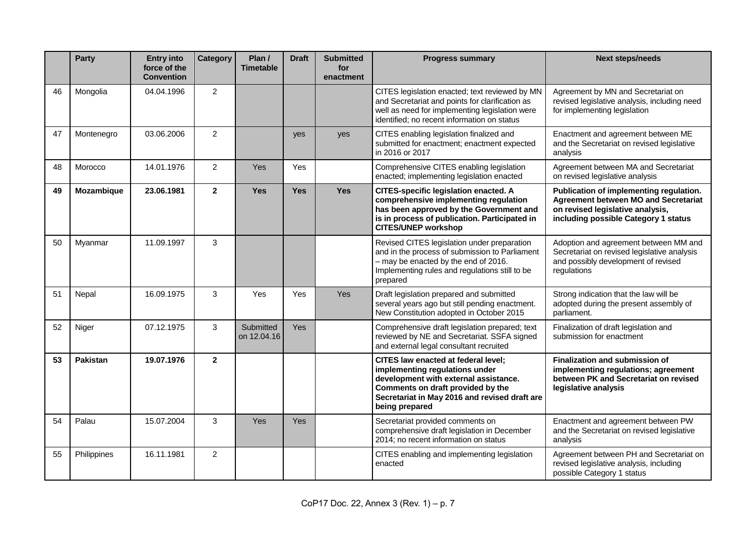|    | <b>Party</b>    | <b>Entry into</b><br>force of the<br><b>Convention</b> | <b>Category</b> | Plan /<br><b>Timetable</b> | <b>Draft</b> | <b>Submitted</b><br>for<br>enactment | <b>Progress summary</b>                                                                                                                                                                                                       | <b>Next steps/needs</b>                                                                                                                                            |
|----|-----------------|--------------------------------------------------------|-----------------|----------------------------|--------------|--------------------------------------|-------------------------------------------------------------------------------------------------------------------------------------------------------------------------------------------------------------------------------|--------------------------------------------------------------------------------------------------------------------------------------------------------------------|
| 46 | Mongolia        | 04.04.1996                                             | $\overline{2}$  |                            |              |                                      | CITES legislation enacted; text reviewed by MN<br>and Secretariat and points for clarification as<br>well as need for implementing legislation were<br>identified; no recent information on status                            | Agreement by MN and Secretariat on<br>revised legislative analysis, including need<br>for implementing legislation                                                 |
| 47 | Montenegro      | 03.06.2006                                             | 2               |                            | yes          | yes                                  | CITES enabling legislation finalized and<br>submitted for enactment; enactment expected<br>in 2016 or 2017                                                                                                                    | Enactment and agreement between ME<br>and the Secretariat on revised legislative<br>analysis                                                                       |
| 48 | Morocco         | 14.01.1976                                             | $\overline{2}$  | <b>Yes</b>                 | Yes          |                                      | Comprehensive CITES enabling legislation<br>enacted; implementing legislation enacted                                                                                                                                         | Agreement between MA and Secretariat<br>on revised legislative analysis                                                                                            |
| 49 | Mozambique      | 23.06.1981                                             | $\overline{2}$  | <b>Yes</b>                 | <b>Yes</b>   | <b>Yes</b>                           | <b>CITES-specific legislation enacted. A</b><br>comprehensive implementing regulation<br>has been approved by the Government and<br>is in process of publication. Participated in<br><b>CITES/UNEP workshop</b>               | Publication of implementing regulation.<br><b>Agreement between MO and Secretariat</b><br>on revised legislative analysis,<br>including possible Category 1 status |
| 50 | Myanmar         | 11.09.1997                                             | 3               |                            |              |                                      | Revised CITES legislation under preparation<br>and in the process of submission to Parliament<br>- may be enacted by the end of 2016.<br>Implementing rules and regulations still to be<br>prepared                           | Adoption and agreement between MM and<br>Secretariat on revised legislative analysis<br>and possibly development of revised<br>regulations                         |
| 51 | Nepal           | 16.09.1975                                             | 3               | Yes                        | Yes          | Yes                                  | Draft legislation prepared and submitted<br>several years ago but still pending enactment.<br>New Constitution adopted in October 2015                                                                                        | Strong indication that the law will be<br>adopted during the present assembly of<br>parliament.                                                                    |
| 52 | Niger           | 07.12.1975                                             | 3               | Submitted<br>on 12.04.16   | Yes          |                                      | Comprehensive draft legislation prepared; text<br>reviewed by NE and Secretariat. SSFA signed<br>and external legal consultant recruited                                                                                      | Finalization of draft legislation and<br>submission for enactment                                                                                                  |
| 53 | <b>Pakistan</b> | 19.07.1976                                             | $\overline{2}$  |                            |              |                                      | <b>CITES law enacted at federal level;</b><br>implementing regulations under<br>development with external assistance.<br>Comments on draft provided by the<br>Secretariat in May 2016 and revised draft are<br>being prepared | Finalization and submission of<br>implementing regulations; agreement<br>between PK and Secretariat on revised<br>legislative analysis                             |
| 54 | Palau           | 15.07.2004                                             | 3               | Yes                        | Yes          |                                      | Secretariat provided comments on<br>comprehensive draft legislation in December<br>2014; no recent information on status                                                                                                      | Enactment and agreement between PW<br>and the Secretariat on revised legislative<br>analysis                                                                       |
| 55 | Philippines     | 16.11.1981                                             | $\overline{2}$  |                            |              |                                      | CITES enabling and implementing legislation<br>enacted                                                                                                                                                                        | Agreement between PH and Secretariat on<br>revised legislative analysis, including<br>possible Category 1 status                                                   |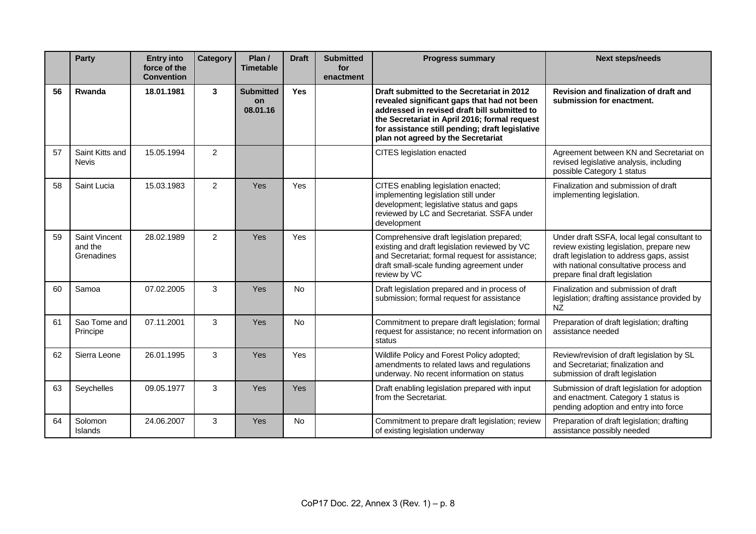|    | Party                                         | <b>Entry into</b><br>force of the<br><b>Convention</b> | Category       | Plan /<br><b>Timetable</b>                | <b>Draft</b> | <b>Submitted</b><br>for<br>enactment | <b>Progress summary</b>                                                                                                                                                                                                                                                             | <b>Next steps/needs</b>                                                                                                                                                                                           |
|----|-----------------------------------------------|--------------------------------------------------------|----------------|-------------------------------------------|--------------|--------------------------------------|-------------------------------------------------------------------------------------------------------------------------------------------------------------------------------------------------------------------------------------------------------------------------------------|-------------------------------------------------------------------------------------------------------------------------------------------------------------------------------------------------------------------|
| 56 | Rwanda                                        | 18.01.1981                                             | $\mathbf{3}$   | <b>Submitted</b><br><b>on</b><br>08.01.16 | <b>Yes</b>   |                                      | Draft submitted to the Secretariat in 2012<br>revealed significant gaps that had not been<br>addressed in revised draft bill submitted to<br>the Secretariat in April 2016; formal request<br>for assistance still pending; draft legislative<br>plan not agreed by the Secretariat | Revision and finalization of draft and<br>submission for enactment.                                                                                                                                               |
| 57 | Saint Kitts and<br><b>Nevis</b>               | 15.05.1994                                             | $\overline{2}$ |                                           |              |                                      | CITES legislation enacted                                                                                                                                                                                                                                                           | Agreement between KN and Secretariat on<br>revised legislative analysis, including<br>possible Category 1 status                                                                                                  |
| 58 | Saint Lucia                                   | 15.03.1983                                             | $\overline{2}$ | Yes                                       | Yes          |                                      | CITES enabling legislation enacted;<br>implementing legislation still under<br>development; legislative status and gaps<br>reviewed by LC and Secretariat. SSFA under<br>development                                                                                                | Finalization and submission of draft<br>implementing legislation.                                                                                                                                                 |
| 59 | <b>Saint Vincent</b><br>and the<br>Grenadines | 28.02.1989                                             | $\overline{2}$ | Yes                                       | Yes          |                                      | Comprehensive draft legislation prepared;<br>existing and draft legislation reviewed by VC<br>and Secretariat; formal request for assistance;<br>draft small-scale funding agreement under<br>review by VC                                                                          | Under draft SSFA, local legal consultant to<br>review existing legislation, prepare new<br>draft legislation to address gaps, assist<br>with national consultative process and<br>prepare final draft legislation |
| 60 | Samoa                                         | 07.02.2005                                             | 3              | Yes                                       | <b>No</b>    |                                      | Draft legislation prepared and in process of<br>submission; formal request for assistance                                                                                                                                                                                           | Finalization and submission of draft<br>legislation; drafting assistance provided by<br><b>NZ</b>                                                                                                                 |
| 61 | Sao Tome and<br>Principe                      | 07.11.2001                                             | 3              | Yes                                       | No           |                                      | Commitment to prepare draft legislation; formal<br>request for assistance; no recent information on<br>status                                                                                                                                                                       | Preparation of draft legislation; drafting<br>assistance needed                                                                                                                                                   |
| 62 | Sierra Leone                                  | 26.01.1995                                             | 3              | Yes                                       | Yes          |                                      | Wildlife Policy and Forest Policy adopted;<br>amendments to related laws and regulations<br>underway. No recent information on status                                                                                                                                               | Review/revision of draft legislation by SL<br>and Secretariat; finalization and<br>submission of draft legislation                                                                                                |
| 63 | Seychelles                                    | 09.05.1977                                             | 3              | Yes                                       | Yes          |                                      | Draft enabling legislation prepared with input<br>from the Secretariat.                                                                                                                                                                                                             | Submission of draft legislation for adoption<br>and enactment. Category 1 status is<br>pending adoption and entry into force                                                                                      |
| 64 | Solomon<br>Islands                            | 24.06.2007                                             | 3              | Yes                                       | <b>No</b>    |                                      | Commitment to prepare draft legislation; review<br>of existing legislation underway                                                                                                                                                                                                 | Preparation of draft legislation; drafting<br>assistance possibly needed                                                                                                                                          |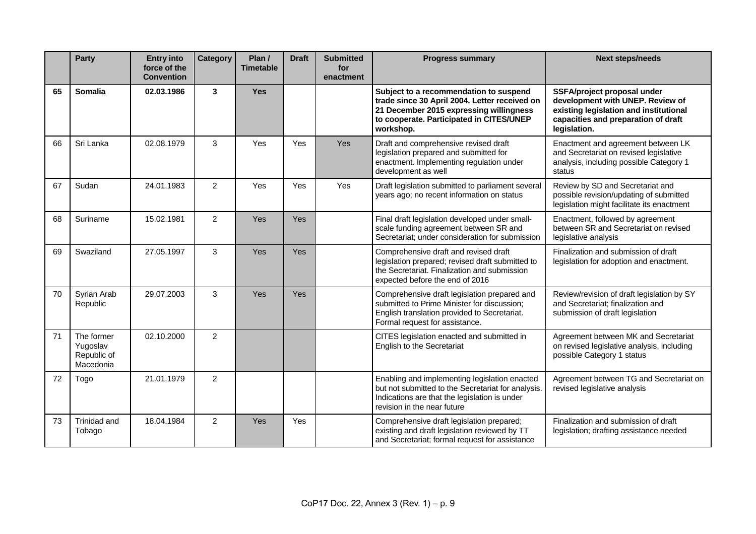|    | <b>Party</b>                                       | <b>Entry into</b><br>force of the<br><b>Convention</b> | Category       | Plan /<br><b>Timetable</b> | <b>Draft</b> | <b>Submitted</b><br>for<br>enactment | <b>Progress summary</b>                                                                                                                                                                     | <b>Next steps/needs</b>                                                                                                                                          |
|----|----------------------------------------------------|--------------------------------------------------------|----------------|----------------------------|--------------|--------------------------------------|---------------------------------------------------------------------------------------------------------------------------------------------------------------------------------------------|------------------------------------------------------------------------------------------------------------------------------------------------------------------|
| 65 | Somalia                                            | 02.03.1986                                             | $\overline{3}$ | <b>Yes</b>                 |              |                                      | Subject to a recommendation to suspend<br>trade since 30 April 2004. Letter received on<br>21 December 2015 expressing willingness<br>to cooperate. Participated in CITES/UNEP<br>workshop. | SSFA/project proposal under<br>development with UNEP. Review of<br>existing legislation and institutional<br>capacities and preparation of draft<br>legislation. |
| 66 | Sri Lanka                                          | 02.08.1979                                             | 3              | <b>Yes</b>                 | Yes          | Yes                                  | Draft and comprehensive revised draft<br>legislation prepared and submitted for<br>enactment. Implementing regulation under<br>development as well                                          | Enactment and agreement between LK<br>and Secretariat on revised legislative<br>analysis, including possible Category 1<br>status                                |
| 67 | Sudan                                              | 24.01.1983                                             | $\overline{2}$ | Yes                        | Yes          | Yes                                  | Draft legislation submitted to parliament several<br>years ago; no recent information on status                                                                                             | Review by SD and Secretariat and<br>possible revision/updating of submitted<br>legislation might facilitate its enactment                                        |
| 68 | Suriname                                           | 15.02.1981                                             | $\overline{2}$ | Yes                        | Yes          |                                      | Final draft legislation developed under small-<br>scale funding agreement between SR and<br>Secretariat; under consideration for submission                                                 | Enactment, followed by agreement<br>between SR and Secretariat on revised<br>legislative analysis                                                                |
| 69 | Swaziland                                          | 27.05.1997                                             | 3              | <b>Yes</b>                 | <b>Yes</b>   |                                      | Comprehensive draft and revised draft<br>legislation prepared; revised draft submitted to<br>the Secretariat. Finalization and submission<br>expected before the end of 2016                | Finalization and submission of draft<br>legislation for adoption and enactment.                                                                                  |
| 70 | Syrian Arab<br>Republic                            | 29.07.2003                                             | 3              | <b>Yes</b>                 | <b>Yes</b>   |                                      | Comprehensive draft legislation prepared and<br>submitted to Prime Minister for discussion;<br>English translation provided to Secretariat.<br>Formal request for assistance.               | Review/revision of draft legislation by SY<br>and Secretariat; finalization and<br>submission of draft legislation                                               |
| 71 | The former<br>Yugoslav<br>Republic of<br>Macedonia | 02.10.2000                                             | $\overline{2}$ |                            |              |                                      | CITES legislation enacted and submitted in<br>English to the Secretariat                                                                                                                    | Agreement between MK and Secretariat<br>on revised legislative analysis, including<br>possible Category 1 status                                                 |
| 72 | Togo                                               | 21.01.1979                                             | $\overline{2}$ |                            |              |                                      | Enabling and implementing legislation enacted<br>but not submitted to the Secretariat for analysis.<br>Indications are that the legislation is under<br>revision in the near future         | Agreement between TG and Secretariat on<br>revised legislative analysis                                                                                          |
| 73 | Trinidad and<br>Tobago                             | 18.04.1984                                             | $\overline{2}$ | Yes                        | Yes          |                                      | Comprehensive draft legislation prepared;<br>existing and draft legislation reviewed by TT<br>and Secretariat; formal request for assistance                                                | Finalization and submission of draft<br>legislation; drafting assistance needed                                                                                  |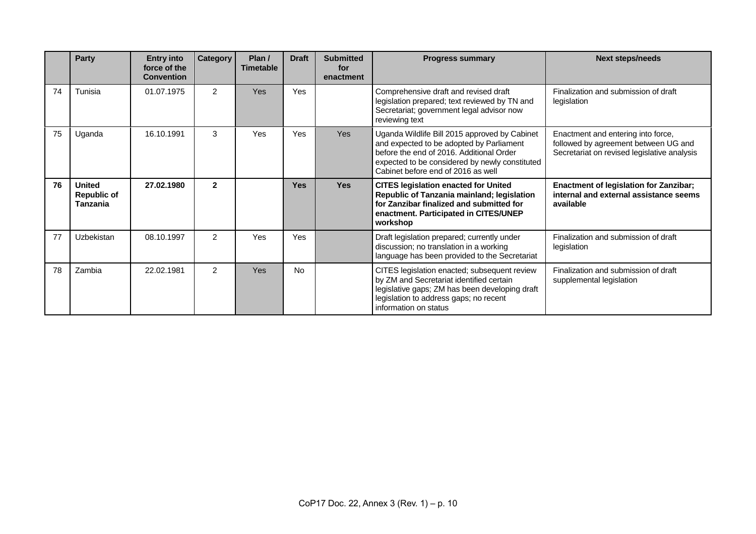|    | Party                                                  | <b>Entry into</b><br>force of the<br><b>Convention</b> | <b>Category</b> | Plan/<br><b>Timetable</b> | <b>Draft</b> | <b>Submitted</b><br>for<br>enactment | <b>Progress summary</b>                                                                                                                                                                                                       | <b>Next steps/needs</b>                                                                                                   |
|----|--------------------------------------------------------|--------------------------------------------------------|-----------------|---------------------------|--------------|--------------------------------------|-------------------------------------------------------------------------------------------------------------------------------------------------------------------------------------------------------------------------------|---------------------------------------------------------------------------------------------------------------------------|
| 74 | Tunisia                                                | 01.07.1975                                             | $\mathfrak{p}$  | <b>Yes</b>                | <b>Yes</b>   |                                      | Comprehensive draft and revised draft<br>legislation prepared; text reviewed by TN and<br>Secretariat; government legal advisor now<br>reviewing text                                                                         | Finalization and submission of draft<br>legislation                                                                       |
| 75 | Uganda                                                 | 16.10.1991                                             | 3               | Yes                       | Yes          | <b>Yes</b>                           | Uganda Wildlife Bill 2015 approved by Cabinet<br>and expected to be adopted by Parliament<br>before the end of 2016. Additional Order<br>expected to be considered by newly constituted<br>Cabinet before end of 2016 as well | Enactment and entering into force,<br>followed by agreement between UG and<br>Secretariat on revised legislative analysis |
| 76 | <b>United</b><br><b>Republic of</b><br><b>Tanzania</b> | 27.02.1980                                             | $\overline{2}$  |                           | <b>Yes</b>   | <b>Yes</b>                           | <b>CITES legislation enacted for United</b><br>Republic of Tanzania mainland; legislation<br>for Zanzibar finalized and submitted for<br>enactment. Participated in CITES/UNEP<br>workshop                                    | <b>Enactment of legislation for Zanzibar;</b><br>internal and external assistance seems<br>available                      |
| 77 | Uzbekistan                                             | 08.10.1997                                             | 2               | Yes                       | <b>Yes</b>   |                                      | Draft legislation prepared; currently under<br>discussion; no translation in a working<br>language has been provided to the Secretariat                                                                                       | Finalization and submission of draft<br>legislation                                                                       |
| 78 | Zambia                                                 | 22.02.1981                                             | 2               | Yes                       | <b>No</b>    |                                      | CITES legislation enacted; subsequent review<br>by ZM and Secretariat identified certain<br>legislative gaps; ZM has been developing draft<br>legislation to address gaps; no recent<br>information on status                 | Finalization and submission of draft<br>supplemental legislation                                                          |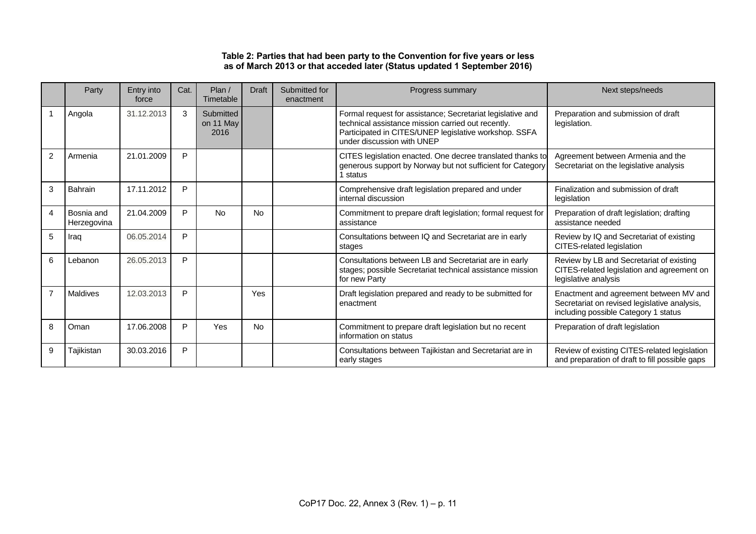### **Table 2: Parties that had been party to the Convention for five years or less as of March 2013 or that acceded later (Status updated 1 September 2016)**

|                | Party                     | Entry into<br>force | Cat. | Plan/<br>Timetable             | <b>Draft</b> | Submitted for<br>enactment | Progress summary                                                                                                                                                                                        | Next steps/needs                                                                                                               |
|----------------|---------------------------|---------------------|------|--------------------------------|--------------|----------------------------|---------------------------------------------------------------------------------------------------------------------------------------------------------------------------------------------------------|--------------------------------------------------------------------------------------------------------------------------------|
|                | Angola                    | 31.12.2013          | 3    | Submitted<br>on 11 May<br>2016 |              |                            | Formal request for assistance; Secretariat legislative and<br>technical assistance mission carried out recently.<br>Participated in CITES/UNEP legislative workshop. SSFA<br>under discussion with UNEP | Preparation and submission of draft<br>legislation.                                                                            |
| 2              | Armenia                   | 21.01.2009          | P    |                                |              |                            | CITES legislation enacted. One decree translated thanks to<br>generous support by Norway but not sufficient for Category<br>1 status                                                                    | Agreement between Armenia and the<br>Secretariat on the legislative analysis                                                   |
| 3              | Bahrain                   | 17.11.2012          | P    |                                |              |                            | Comprehensive draft legislation prepared and under<br>internal discussion                                                                                                                               | Finalization and submission of draft<br>legislation                                                                            |
| 4              | Bosnia and<br>Herzegovina | 21.04.2009          | P    | <b>No</b>                      | No.          |                            | Commitment to prepare draft legislation; formal request for<br>assistance                                                                                                                               | Preparation of draft legislation; drafting<br>assistance needed                                                                |
| 5              | Iraq                      | 06.05.2014          | P    |                                |              |                            | Consultations between IQ and Secretariat are in early<br>stages                                                                                                                                         | Review by IQ and Secretariat of existing<br>CITES-related legislation                                                          |
| 6              | Lebanon                   | 26.05.2013          | P    |                                |              |                            | Consultations between LB and Secretariat are in early<br>stages; possible Secretariat technical assistance mission<br>for new Party                                                                     | Review by LB and Secretariat of existing<br>CITES-related legislation and agreement on<br>legislative analysis                 |
| $\overline{7}$ | <b>Maldives</b>           | 12.03.2013          | P    |                                | Yes          |                            | Draft legislation prepared and ready to be submitted for<br>enactment                                                                                                                                   | Enactment and agreement between MV and<br>Secretariat on revised legislative analysis,<br>including possible Category 1 status |
| 8              | Oman                      | 17.06.2008          | P    | Yes                            | <b>No</b>    |                            | Commitment to prepare draft legislation but no recent<br>information on status                                                                                                                          | Preparation of draft legislation                                                                                               |
| 9              | Tajikistan                | 30.03.2016          | P    |                                |              |                            | Consultations between Tajikistan and Secretariat are in<br>early stages                                                                                                                                 | Review of existing CITES-related legislation<br>and preparation of draft to fill possible gaps                                 |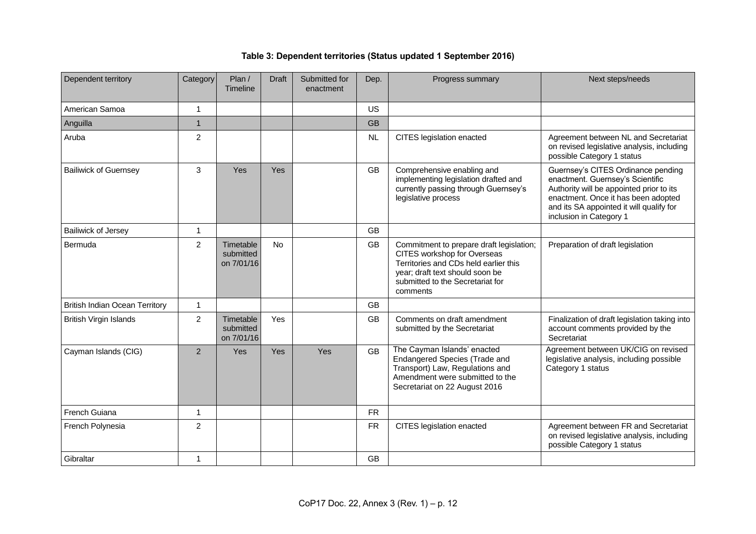# **Table 3: Dependent territories (Status updated 1 September 2016)**

| Dependent territory                   | Category       | Plan /<br><b>Timeline</b>            | <b>Draft</b> | Submitted for<br>enactment | Dep.      | Progress summary                                                                                                                                                                                    | Next steps/needs                                                                                                                                                                                                                 |
|---------------------------------------|----------------|--------------------------------------|--------------|----------------------------|-----------|-----------------------------------------------------------------------------------------------------------------------------------------------------------------------------------------------------|----------------------------------------------------------------------------------------------------------------------------------------------------------------------------------------------------------------------------------|
| American Samoa                        | $\mathbf{1}$   |                                      |              |                            | <b>US</b> |                                                                                                                                                                                                     |                                                                                                                                                                                                                                  |
| Anguilla                              | $\mathbf{1}$   |                                      |              |                            | <b>GB</b> |                                                                                                                                                                                                     |                                                                                                                                                                                                                                  |
| Aruba                                 | $\overline{c}$ |                                      |              |                            | NL        | CITES legislation enacted                                                                                                                                                                           | Agreement between NL and Secretariat<br>on revised legislative analysis, including<br>possible Category 1 status                                                                                                                 |
| <b>Bailiwick of Guernsey</b>          | 3              | Yes                                  | Yes          |                            | <b>GB</b> | Comprehensive enabling and<br>implementing legislation drafted and<br>currently passing through Guernsey's<br>legislative process                                                                   | Guernsey's CITES Ordinance pending<br>enactment. Guernsey's Scientific<br>Authority will be appointed prior to its<br>enactment. Once it has been adopted<br>and its SA appointed it will qualify for<br>inclusion in Category 1 |
| <b>Bailiwick of Jersey</b>            | 1              |                                      |              |                            | <b>GB</b> |                                                                                                                                                                                                     |                                                                                                                                                                                                                                  |
| Bermuda                               | $\overline{2}$ | Timetable<br>submitted<br>on 7/01/16 | <b>No</b>    |                            | GB        | Commitment to prepare draft legislation;<br>CITES workshop for Overseas<br>Territories and CDs held earlier this<br>year; draft text should soon be<br>submitted to the Secretariat for<br>comments | Preparation of draft legislation                                                                                                                                                                                                 |
| <b>British Indian Ocean Territory</b> | $\mathbf{1}$   |                                      |              |                            | GB        |                                                                                                                                                                                                     |                                                                                                                                                                                                                                  |
| <b>British Virgin Islands</b>         | $\overline{c}$ | Timetable<br>submitted<br>on 7/01/16 | Yes          |                            | <b>GB</b> | Comments on draft amendment<br>submitted by the Secretariat                                                                                                                                         | Finalization of draft legislation taking into<br>account comments provided by the<br>Secretariat                                                                                                                                 |
| Cayman Islands (CIG)                  | 2              | Yes                                  | Yes          | Yes                        | <b>GB</b> | The Cayman Islands' enacted<br>Endangered Species (Trade and<br>Transport) Law, Regulations and<br>Amendment were submitted to the<br>Secretariat on 22 August 2016                                 | Agreement between UK/CIG on revised<br>legislative analysis, including possible<br>Category 1 status                                                                                                                             |
| French Guiana                         | $\mathbf{1}$   |                                      |              |                            | <b>FR</b> |                                                                                                                                                                                                     |                                                                                                                                                                                                                                  |
| French Polynesia                      | $\overline{2}$ |                                      |              |                            | <b>FR</b> | CITES legislation enacted                                                                                                                                                                           | Agreement between FR and Secretariat<br>on revised legislative analysis, including<br>possible Category 1 status                                                                                                                 |
| Gibraltar                             | $\mathbf{1}$   |                                      |              |                            | GB        |                                                                                                                                                                                                     |                                                                                                                                                                                                                                  |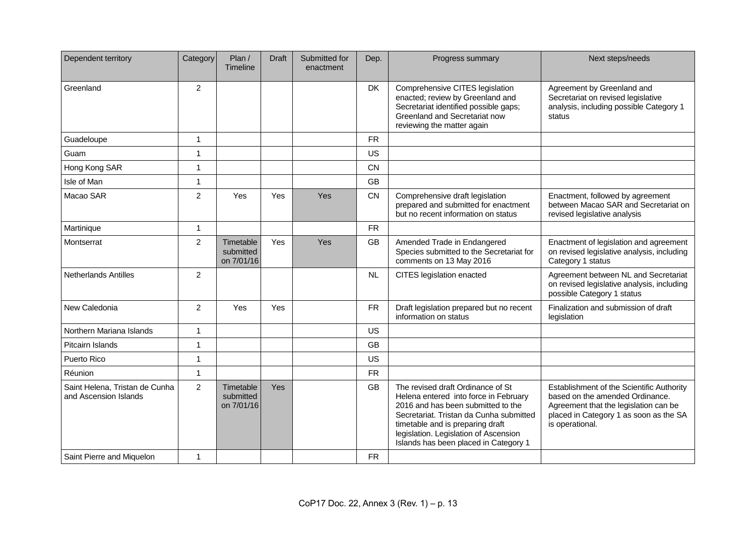| Dependent territory                                     | Category       | Plan /<br>Timeline                   | <b>Draft</b> | Submitted for<br>enactment | Dep.      | Progress summary                                                                                                                                                                                                                                                                  | Next steps/needs                                                                                                                                                                   |
|---------------------------------------------------------|----------------|--------------------------------------|--------------|----------------------------|-----------|-----------------------------------------------------------------------------------------------------------------------------------------------------------------------------------------------------------------------------------------------------------------------------------|------------------------------------------------------------------------------------------------------------------------------------------------------------------------------------|
| Greenland                                               | 2              |                                      |              |                            | DK        | Comprehensive CITES legislation<br>enacted; review by Greenland and<br>Secretariat identified possible gaps;<br>Greenland and Secretariat now<br>reviewing the matter again                                                                                                       | Agreement by Greenland and<br>Secretariat on revised legislative<br>analysis, including possible Category 1<br>status                                                              |
| Guadeloupe                                              | $\mathbf{1}$   |                                      |              |                            | <b>FR</b> |                                                                                                                                                                                                                                                                                   |                                                                                                                                                                                    |
| Guam                                                    | 1              |                                      |              |                            | <b>US</b> |                                                                                                                                                                                                                                                                                   |                                                                                                                                                                                    |
| Hong Kong SAR                                           | 1              |                                      |              |                            | <b>CN</b> |                                                                                                                                                                                                                                                                                   |                                                                                                                                                                                    |
| Isle of Man                                             | $\mathbf{1}$   |                                      |              |                            | <b>GB</b> |                                                                                                                                                                                                                                                                                   |                                                                                                                                                                                    |
| Macao SAR                                               | $\overline{2}$ | Yes                                  | Yes          | Yes                        | <b>CN</b> | Comprehensive draft legislation<br>prepared and submitted for enactment<br>but no recent information on status                                                                                                                                                                    | Enactment, followed by agreement<br>between Macao SAR and Secretariat on<br>revised legislative analysis                                                                           |
| Martinique                                              | 1              |                                      |              |                            | <b>FR</b> |                                                                                                                                                                                                                                                                                   |                                                                                                                                                                                    |
| Montserrat                                              | $\overline{2}$ | Timetable<br>submitted<br>on 7/01/16 | Yes          | Yes                        | <b>GB</b> | Amended Trade in Endangered<br>Species submitted to the Secretariat for<br>comments on 13 May 2016                                                                                                                                                                                | Enactment of legislation and agreement<br>on revised legislative analysis, including<br>Category 1 status                                                                          |
| <b>Netherlands Antilles</b>                             | $\overline{2}$ |                                      |              |                            | <b>NL</b> | CITES legislation enacted                                                                                                                                                                                                                                                         | Agreement between NL and Secretariat<br>on revised legislative analysis, including<br>possible Category 1 status                                                                   |
| New Caledonia                                           | 2              | Yes                                  | Yes          |                            | <b>FR</b> | Draft legislation prepared but no recent<br>information on status                                                                                                                                                                                                                 | Finalization and submission of draft<br>legislation                                                                                                                                |
| Northern Mariana Islands                                | $\mathbf{1}$   |                                      |              |                            | <b>US</b> |                                                                                                                                                                                                                                                                                   |                                                                                                                                                                                    |
| Pitcairn Islands                                        | $\mathbf{1}$   |                                      |              |                            | <b>GB</b> |                                                                                                                                                                                                                                                                                   |                                                                                                                                                                                    |
| Puerto Rico                                             | $\mathbf{1}$   |                                      |              |                            | <b>US</b> |                                                                                                                                                                                                                                                                                   |                                                                                                                                                                                    |
| Réunion                                                 | $\mathbf{1}$   |                                      |              |                            | <b>FR</b> |                                                                                                                                                                                                                                                                                   |                                                                                                                                                                                    |
| Saint Helena, Tristan de Cunha<br>and Ascension Islands | $\overline{c}$ | Timetable<br>submitted<br>on 7/01/16 | Yes          |                            | GB        | The revised draft Ordinance of St<br>Helena entered into force in February<br>2016 and has been submitted to the<br>Secretariat. Tristan da Cunha submitted<br>timetable and is preparing draft<br>legislation. Legislation of Ascension<br>Islands has been placed in Category 1 | Establishment of the Scientific Authority<br>based on the amended Ordinance.<br>Agreement that the legislation can be<br>placed in Category 1 as soon as the SA<br>is operational. |
| Saint Pierre and Miquelon                               | 1              |                                      |              |                            | <b>FR</b> |                                                                                                                                                                                                                                                                                   |                                                                                                                                                                                    |